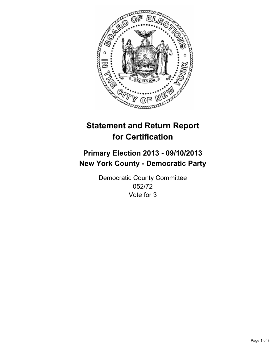

# **Statement and Return Report for Certification**

# **Primary Election 2013 - 09/10/2013 New York County - Democratic Party**

Democratic County Committee 052/72 Vote for 3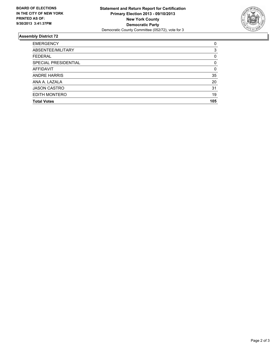

## **Assembly District 72**

| <b>EMERGENCY</b>     | 0        |
|----------------------|----------|
| ABSENTEE/MILITARY    | 3        |
| <b>FEDERAL</b>       | 0        |
| SPECIAL PRESIDENTIAL | $\Omega$ |
| AFFIDAVIT            | 0        |
| <b>ANDRE HARRIS</b>  | 35       |
| ANA A. LAZALA        | 20       |
| <b>JASON CASTRO</b>  | 31       |
| EDITH MONTERO        | 19       |
| <b>Total Votes</b>   | 105      |